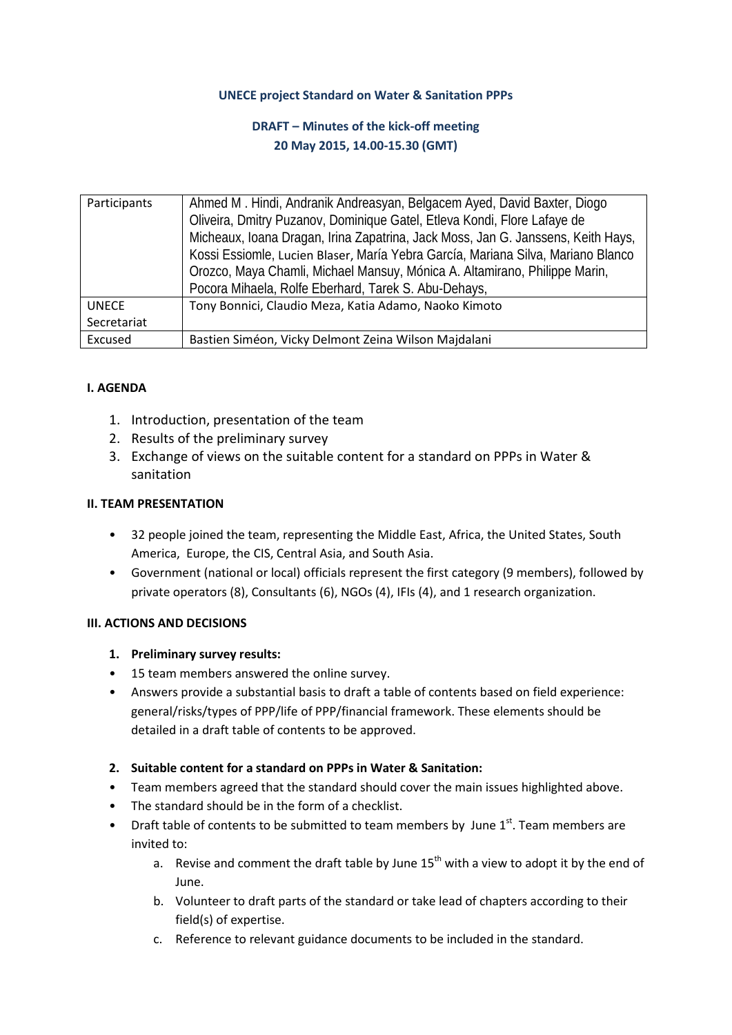## **UNECE project Standard on Water & Sanitation PPPs**

# **DRAFT – Minutes of the kick-off meeting 20 May 2015, 14.00-15.30 (GMT)**

| Participants | Ahmed M. Hindi, Andranik Andreasyan, Belgacem Ayed, David Baxter, Diogo          |
|--------------|----------------------------------------------------------------------------------|
|              | Oliveira, Dmitry Puzanov, Dominique Gatel, Etleva Kondi, Flore Lafaye de         |
|              | Micheaux, Ioana Dragan, Irina Zapatrina, Jack Moss, Jan G. Janssens, Keith Hays, |
|              | Kossi Essiomle, Lucien Blaser, María Yebra García, Mariana Silva, Mariano Blanco |
|              | Orozco, Maya Chamli, Michael Mansuy, Mónica A. Altamirano, Philippe Marin,       |
|              | Pocora Mihaela, Rolfe Eberhard, Tarek S. Abu-Dehays,                             |
| <b>UNECE</b> | Tony Bonnici, Claudio Meza, Katia Adamo, Naoko Kimoto                            |
| Secretariat  |                                                                                  |
| Excused      | Bastien Siméon, Vicky Delmont Zeina Wilson Majdalani                             |

### **I. AGENDA**

- 1. Introduction, presentation of the team
- 2. Results of the preliminary survey
- 3. Exchange of views on the suitable content for a standard on PPPs in Water & sanitation

### **II. TEAM PRESENTATION**

- 32 people joined the team, representing the Middle East, Africa, the United States, South America, Europe, the CIS, Central Asia, and South Asia.
- Government (national or local) officials represent the first category (9 members), followed by private operators (8), Consultants (6), NGOs (4), IFIs (4), and 1 research organization.

#### **III. ACTIONS AND DECISIONS**

## **1. Preliminary survey results:**

- 15 team members answered the online survey.
- Answers provide a substantial basis to draft a table of contents based on field experience: general/risks/types of PPP/life of PPP/financial framework. These elements should be detailed in a draft table of contents to be approved.

## **2. Suitable content for a standard on PPPs in Water & Sanitation:**

- Team members agreed that the standard should cover the main issues highlighted above.
- The standard should be in the form of a checklist.
- Draft table of contents to be submitted to team members by June  $1<sup>st</sup>$ . Team members are invited to:
	- a. Revise and comment the draft table by June  $15<sup>th</sup>$  with a view to adopt it by the end of June.
	- b. Volunteer to draft parts of the standard or take lead of chapters according to their field(s) of expertise.
	- c. Reference to relevant guidance documents to be included in the standard.